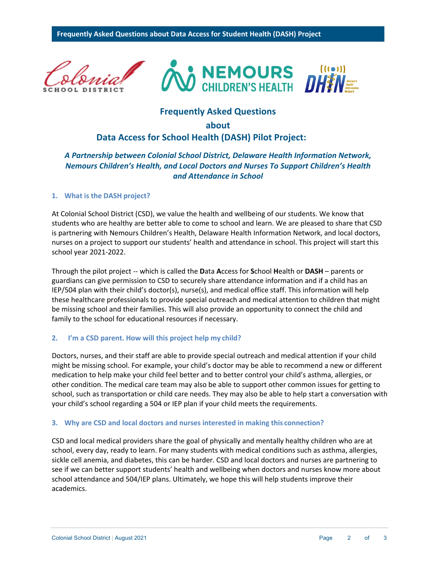

# **Frequently Asked Questions**

# **about**

# **Data Access for School Health (DASH) Pilot Project:**

# *A Partnership between Colonial School District, Delaware Health Information Network, Nemours Children's Health, and Local Doctors and Nurses To Support Children's Health and Attendance in School*

# **1. What is the DASH project?**

At Colonial School District (CSD), we value the health and wellbeing of our students. We know that students who are healthy are better able to come to school and learn. We are pleased to share that CSD is partnering with Nemours Children's Health, Delaware Health Information Network, and local doctors, nurses on a project to support our students' health and attendance in school. This project will start this school year 2021-2022.

Through the pilot project -- which is called the **D**ata **A**ccess for **S**chool **H**ealth or **DASH** – parents or guardians can give permission to CSD to securely share attendance information and if a child has an IEP/504 plan with their child's doctor(s), nurse(s), and medical office staff. This information will help these healthcare professionals to provide special outreach and medical attention to children that might be missing school and their families. This will also provide an opportunity to connect the child and family to the school for educational resources if necessary.

# **2. I'm a CSD parent. How will this project help my child?**

Doctors, nurses, and their staff are able to provide special outreach and medical attention if your child might be missing school. For example, your child's doctor may be able to recommend a new or different medication to help make your child feel better and to better control your child's asthma, allergies, or other condition. The medical care team may also be able to support other common issues for getting to school, such as transportation or child care needs. They may also be able to help start a conversation with your child's school regarding a 504 or IEP plan if your child meets the requirements.

#### **3. Why are CSD and local doctors and nurses interested in making this connection?**

CSD and local medical providers share the goal of physically and mentally healthy children who are at school, every day, ready to learn. For many students with medical conditions such as asthma, allergies, sickle cell anemia, and diabetes, this can be harder. CSD and local doctors and nurses are partnering to see if we can better support students' health and wellbeing when doctors and nurses know more about school attendance and 504/IEP plans. Ultimately, we hope this will help students improve their academics.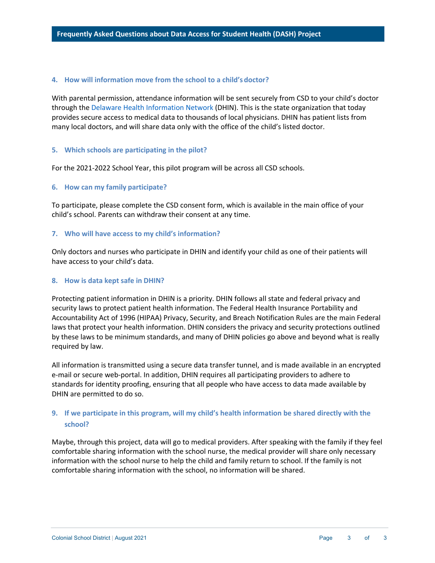#### **4. How will information move from the school to a child's doctor?**

With parental permission, attendance information will be sent securely from CSD to your child's doctor through the Delaware Health Information Network (DHIN). This is the state organization that today provides secure access to medical data to thousands of local physicians. DHIN has patient lists from many local doctors, and will share data only with the office of the child's listed doctor.

#### **5. Which schools are participating in the pilot?**

For the 2021-2022 School Year, this pilot program will be across all CSD schools.

# **6. How can my family participate?**

To participate, please complete the CSD consent form, which is available in the main office of your child's school. Parents can withdraw their consent at any time.

# **7. Who will have access to my child's information?**

Only doctors and nurses who participate in DHIN and identify your child as one of their patients will have access to your child's data.

# **8. How is data kept safe in DHIN?**

Protecting patient information in DHIN is a priority. DHIN follows all state and federal privacy and security laws to protect patient health information. The Federal Health Insurance Portability and Accountability Act of 1996 (HIPAA) Privacy, Security, and Breach Notification Rules are the main Federal laws that protect your health information. DHIN considers the privacy and security protections outlined by these laws to be minimum standards, and many of DHIN policies go above and beyond what is really required by law.

All information is transmitted using a secure data transfer tunnel, and is made available in an encrypted e-mail or secure web-portal. In addition, DHIN requires all participating providers to adhere to standards for identity proofing, ensuring that all people who have access to data made available by DHIN are permitted to do so.

# **9. If we participate in this program, will my child's health information be shared directly with the school?**

Maybe, through this project, data will go to medical providers. After speaking with the family if they feel comfortable sharing information with the school nurse, the medical provider will share only necessary information with the school nurse to help the child and family return to school. If the family is not comfortable sharing information with the school, no information will be shared.